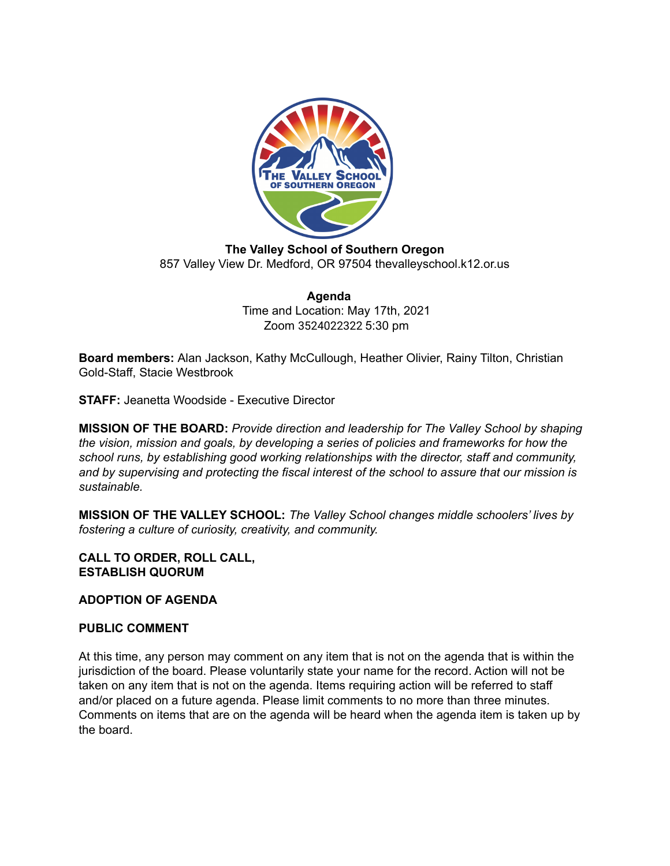

**The Valley School of Southern Oregon** 857 Valley View Dr. Medford, OR 97504 thevalleyschool.k12.or.us

> **Agenda** Time and Location: May 17th, 2021 Zoom 3524022322 5:30 pm

**Board members:** Alan Jackson, Kathy McCullough, Heather Olivier, Rainy Tilton, Christian Gold-Staff, Stacie Westbrook

**STAFF:** Jeanetta Woodside - Executive Director

**MISSION OF THE BOARD:** *Provide direction and leadership for The Valley School by shaping the vision, mission and goals, by developing a series of policies and frameworks for how the school runs, by establishing good working relationships with the director, staff and community, and by supervising and protecting the fiscal interest of the school to assure that our mission is sustainable.*

**MISSION OF THE VALLEY SCHOOL:** *The Valley School changes middle schoolers' lives by fostering a culture of curiosity, creativity, and community.*

## **CALL TO ORDER, ROLL CALL, ESTABLISH QUORUM**

## **ADOPTION OF AGENDA**

## **PUBLIC COMMENT**

At this time, any person may comment on any item that is not on the agenda that is within the jurisdiction of the board. Please voluntarily state your name for the record. Action will not be taken on any item that is not on the agenda. Items requiring action will be referred to staff and/or placed on a future agenda. Please limit comments to no more than three minutes. Comments on items that are on the agenda will be heard when the agenda item is taken up by the board.